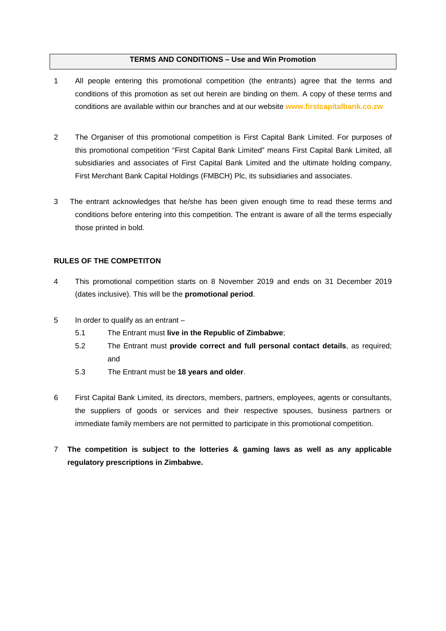### **TERMS AND CONDITIONS – Use and Win Promotion**

- 1 All people entering this promotional competition (the entrants) agree that the terms and conditions of this promotion as set out herein are binding on them. A copy of these terms and conditions are available within our branches and at our website **[www.firstcapitalbank.co.zw](http://www.firstcapitalbank.co.zw/)**
- 2 The Organiser of this promotional competition is First Capital Bank Limited. For purposes of this promotional competition "First Capital Bank Limited" means First Capital Bank Limited, all subsidiaries and associates of First Capital Bank Limited and the ultimate holding company, First Merchant Bank Capital Holdings (FMBCH) Plc, its subsidiaries and associates.
- 3 The entrant acknowledges that he/she has been given enough time to read these terms and conditions before entering into this competition. The entrant is aware of all the terms especially those printed in bold.

# **RULES OF THE COMPETITON**

- 4 This promotional competition starts on 8 November 2019 and ends on 31 December 2019 (dates inclusive). This will be the **promotional period**.
- 5 In order to qualify as an entrant
	- 5.1 The Entrant must **live in the Republic of Zimbabwe**;
	- 5.2 The Entrant must **provide correct and full personal contact details**, as required; and
	- 5.3 The Entrant must be **18 years and older**.
- 6 First Capital Bank Limited, its directors, members, partners, employees, agents or consultants, the suppliers of goods or services and their respective spouses, business partners or immediate family members are not permitted to participate in this promotional competition.
- 7 **The competition is subject to the lotteries & gaming laws as well as any applicable regulatory prescriptions in Zimbabwe.**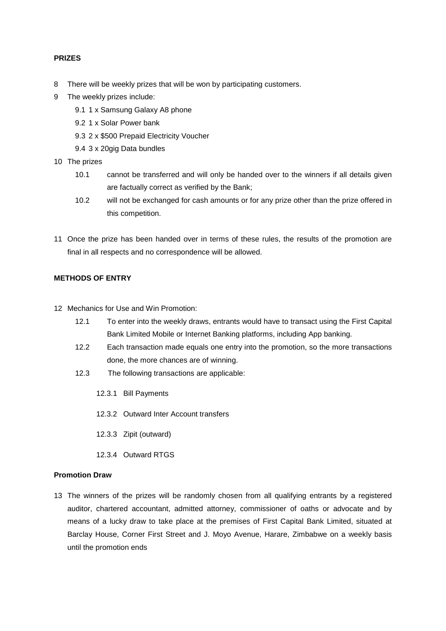## **PRIZES**

- 8 There will be weekly prizes that will be won by participating customers.
- 9 The weekly prizes include:
	- 9.1 1 x Samsung Galaxy A8 phone
	- 9.2 1 x Solar Power bank
	- 9.3 2 x \$500 Prepaid Electricity Voucher
	- 9.4 3 x 20gig Data bundles
- 10 The prizes
	- 10.1 cannot be transferred and will only be handed over to the winners if all details given are factually correct as verified by the Bank;
	- 10.2 will not be exchanged for cash amounts or for any prize other than the prize offered in this competition.
- 11 Once the prize has been handed over in terms of these rules, the results of the promotion are final in all respects and no correspondence will be allowed.

#### **METHODS OF ENTRY**

- 12 Mechanics for Use and Win Promotion:
	- 12.1 To enter into the weekly draws, entrants would have to transact using the First Capital Bank Limited Mobile or Internet Banking platforms, including App banking.
	- 12.2 Each transaction made equals one entry into the promotion, so the more transactions done, the more chances are of winning.
	- 12.3 The following transactions are applicable:
		- 12.3.1 Bill Payments
		- 12.3.2 Outward Inter Account transfers
		- 12.3.3 Zipit (outward)
		- 12.3.4 Outward RTGS

## **Promotion Draw**

13 The winners of the prizes will be randomly chosen from all qualifying entrants by a registered auditor, chartered accountant, admitted attorney, commissioner of oaths or advocate and by means of a lucky draw to take place at the premises of First Capital Bank Limited, situated at Barclay House, Corner First Street and J. Moyo Avenue, Harare, Zimbabwe on a weekly basis until the promotion ends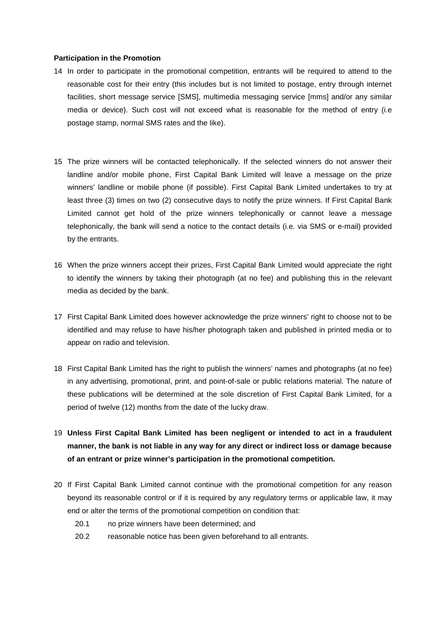### **Participation in the Promotion**

- 14 In order to participate in the promotional competition, entrants will be required to attend to the reasonable cost for their entry (this includes but is not limited to postage, entry through internet facilities, short message service [SMS], multimedia messaging service [mms] and/or any similar media or device). Such cost will not exceed what is reasonable for the method of entry (i.e postage stamp, normal SMS rates and the like).
- 15 The prize winners will be contacted telephonically. If the selected winners do not answer their landline and/or mobile phone, First Capital Bank Limited will leave a message on the prize winners' landline or mobile phone (if possible). First Capital Bank Limited undertakes to try at least three (3) times on two (2) consecutive days to notify the prize winners. If First Capital Bank Limited cannot get hold of the prize winners telephonically or cannot leave a message telephonically, the bank will send a notice to the contact details (i.e. via SMS or e-mail) provided by the entrants.
- 16 When the prize winners accept their prizes, First Capital Bank Limited would appreciate the right to identify the winners by taking their photograph (at no fee) and publishing this in the relevant media as decided by the bank.
- 17 First Capital Bank Limited does however acknowledge the prize winners' right to choose not to be identified and may refuse to have his/her photograph taken and published in printed media or to appear on radio and television.
- 18 First Capital Bank Limited has the right to publish the winners' names and photographs (at no fee) in any advertising, promotional, print, and point-of-sale or public relations material. The nature of these publications will be determined at the sole discretion of First Capital Bank Limited, for a period of twelve (12) months from the date of the lucky draw.
- 19 **Unless First Capital Bank Limited has been negligent or intended to act in a fraudulent manner, the bank is not liable in any way for any direct or indirect loss or damage because of an entrant or prize winner's participation in the promotional competition.**
- 20 If First Capital Bank Limited cannot continue with the promotional competition for any reason beyond its reasonable control or if it is required by any regulatory terms or applicable law, it may end or alter the terms of the promotional competition on condition that:
	- 20.1 no prize winners have been determined; and
	- 20.2 reasonable notice has been given beforehand to all entrants.